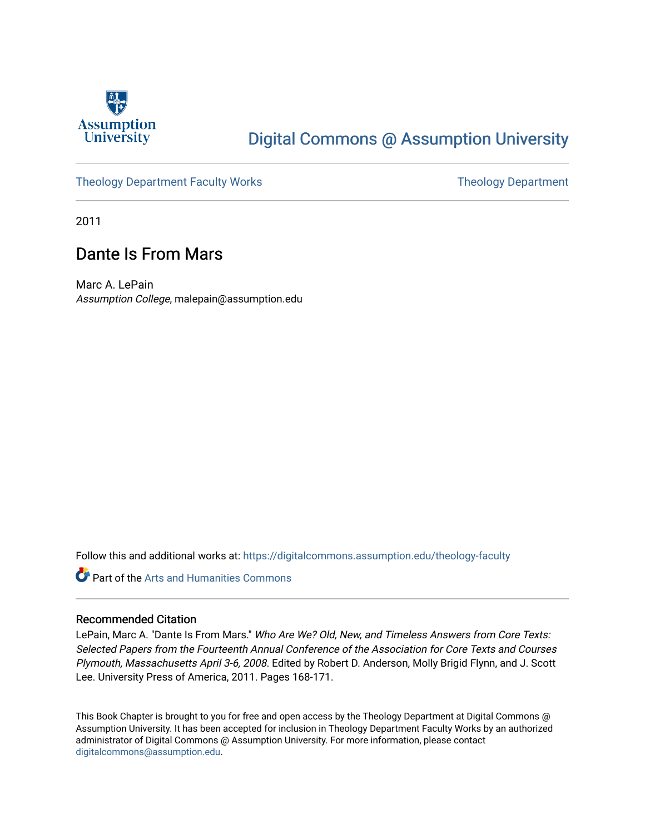

## [Digital Commons @ Assumption University](https://digitalcommons.assumption.edu/)

### [Theology Department Faculty Works](https://digitalcommons.assumption.edu/theology-faculty) Theology Department

2011

### Dante Is From Mars

Marc A. LePain Assumption College, malepain@assumption.edu

Follow this and additional works at: [https://digitalcommons.assumption.edu/theology-faculty](https://digitalcommons.assumption.edu/theology-faculty?utm_source=digitalcommons.assumption.edu%2Ftheology-faculty%2F11&utm_medium=PDF&utm_campaign=PDFCoverPages) 

Part of the [Arts and Humanities Commons](http://network.bepress.com/hgg/discipline/438?utm_source=digitalcommons.assumption.edu%2Ftheology-faculty%2F11&utm_medium=PDF&utm_campaign=PDFCoverPages) 

#### Recommended Citation

LePain, Marc A. "Dante Is From Mars." Who Are We? Old, New, and Timeless Answers from Core Texts: Selected Papers from the Fourteenth Annual Conference of the Association for Core Texts and Courses Plymouth, Massachusetts April 3-6, 2008. Edited by Robert D. Anderson, Molly Brigid Flynn, and J. Scott Lee. University Press of America, 2011. Pages 168-171.

This Book Chapter is brought to you for free and open access by the Theology Department at Digital Commons @ Assumption University. It has been accepted for inclusion in Theology Department Faculty Works by an authorized administrator of Digital Commons @ Assumption University. For more information, please contact [digitalcommons@assumption.edu](mailto:digitalcommons@assumption.edu).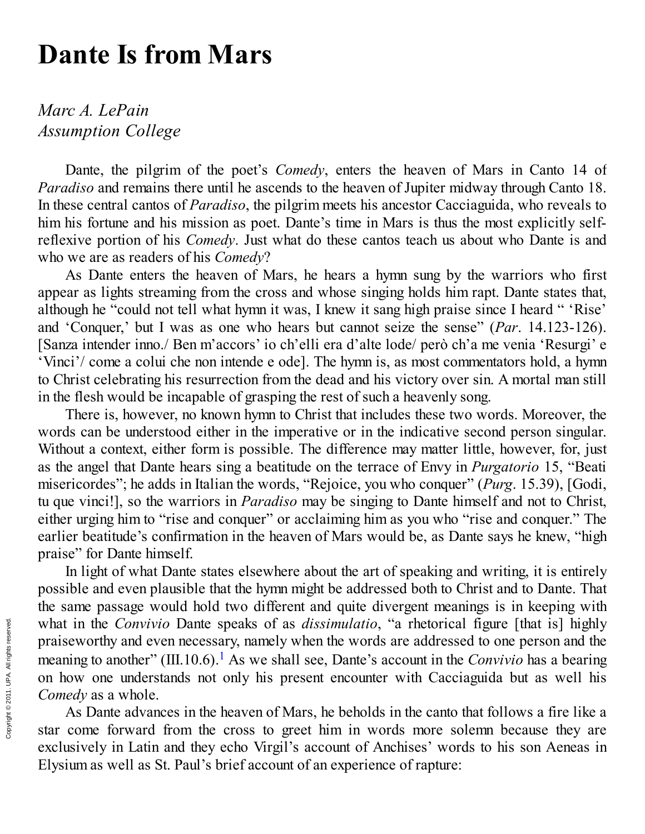# **Dante Is from Mars**

## *Marc A. LePain Assumption College*

Dante, the pilgrim of the poet's *Comedy*, enters the heaven of Mars in Canto 14 of *Paradiso* and remains there until he ascends to the heaven of Jupiter midway through Canto 18. In these central cantos of *Paradiso*, the pilgrim meets his ancestor Cacciaguida, who reveals to him his fortune and his mission as poet. Dante's time in Mars is thus the most explicitly selfreflexive portion of his *Comedy*. Just what do these cantos teach us about who Dante is and who we are as readers of his *Comedy*?

As Dante enters the heaven of Mars, he hears a hymn sung by the warriors who first appear as lights streaming from the cross and whose singing holds him rapt. Dante states that, although he "could not tell what hymn it was, I knew it sang high praise since I heard " 'Rise' and 'Conquer,' but I was as one who hears but cannot seize the sense" (*Par*. 14.123-126). [Sanza intender inno./ Ben m'accors' io ch'elli era d'alte lode/ però ch'a me venia 'Resurgi' e 'Vinci'/ come a colui che non intende e ode]. The hymn is, as most commentators hold, a hymn to Christ celebrating his resurrection from the dead and his victory over sin. A mortal man still in the flesh would be incapable of grasping the rest of such a heavenly song.

There is, however, no known hymn to Christ that includes these two words. Moreover, the words can be understood either in the imperative or in the indicative second person singular. Without a context, either form is possible. The difference may matter little, however, for, just as the angel that Dante hears sing a beatitude on the terrace of Envy in *Purgatorio* 15, "Beati misericordes"; he adds in Italian the words, "Rejoice, you who conquer" (*Purg.* 15.39), [Godi, tu que vinci!], so the warriors in *Paradiso* may be singing to Dante himself and not to Christ, either urging him to "rise and conquer" or acclaiming him as you who "rise and conquer." The earlier beatitude's confirmation in the heaven of Mars would be, as Dante says he knew, "high praise" for Dante himself.

In light of what Dante states elsewhere about the art of speaking and writing, it is entirely possible and even plausible that the hymn might be addressed both to Christ and to Dante. That the same passage would hold two different and quite divergent meanings is in keeping with what in the *Convivio* Dante speaks of as *dissimulatio*, "a rhetorical figure [that is] highly praiseworthy and even necessary, namely when the words are addressed to one person and the meaning to another" (III.[1](#page-4-0)0.6).<sup>1</sup> As we shall see, Dante's account in the *Convivio* has a bearing on how one understands not only his present encounter with Cacciaguida but as well his *Comedy* as a whole.

As Dante advances in the heaven of Mars, he beholds in the canto that follows a fire like a star come forward from the cross to greet him in words more solemn because they are exclusively in Latin and they echo Virgil's account of Anchises' words to his son Aeneas in Elysium as well as St. Paul's brief account of an experience of rapture: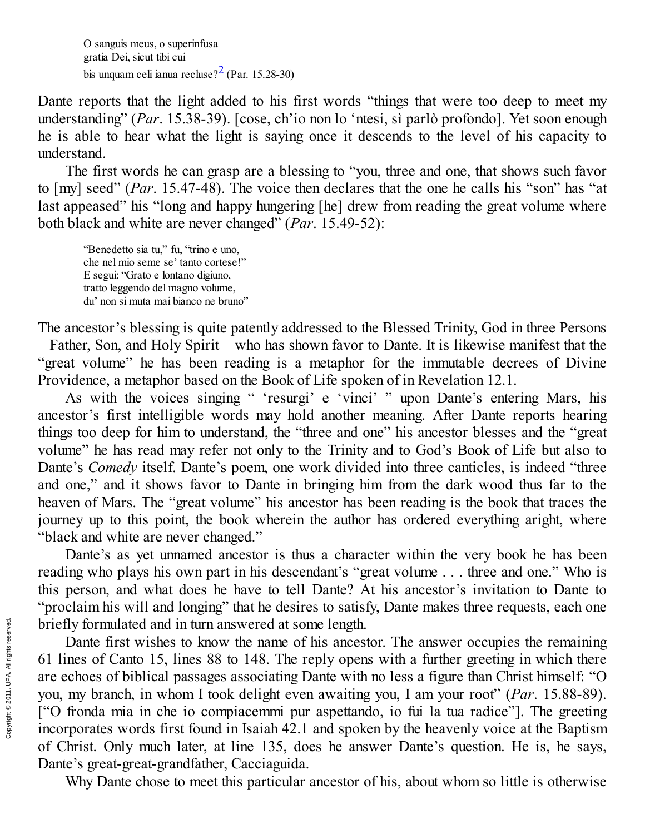O sanguis meus, o superinfusa gratia Dei, sicut tibi cui bis unquam celi ianua recluse? $2$  (Par. 15.28-30)

Dante reports that the light added to his first words "things that were too deep to meet my understanding" (*Par.* 15.38-39). [cose, ch'io non lo 'ntesi, sì parlò profondo]. Yet soon enough he is able to hear what the light is saying once it descends to the level of his capacity to understand.

The first words he can grasp are a blessing to "you, three and one, that shows such favor to  $[my]$  seed" (*Par.* 15.47-48). The voice then declares that the one he calls his "son" has "at last appeased" his "long and happy hungering [he] drew from reading the great volume where both black and white are never changed" (*Par.* 15.49-52):

"Benedetto sia tu," fu, "trino e uno, che nel mio seme se' tanto cortese!" E segui: "Grato e lontano digiuno, tratto leggendo del magno volume, du' non si muta mai bianco ne bruno"

The ancestor's blessing is quite patently addressed to the Blessed Trinity, God in three Persons – Father, Son, and Holy Spirit – who has shown favor to Dante. It is likewise manifest that the "great volume" he has been reading is a metaphor for the immutable decrees of Divine Providence, a metaphor based on the Book of Life spoken of in Revelation 12.1.

As with the voices singing " 'resurgi' e 'vinci' " upon Dante's entering Mars, his ancestor's first intelligible words may hold another meaning. After Dante reports hearing things too deep for him to understand, the "three and one" his ancestor blesses and the "great volume" he has read may refer not only to the Trinity and to God's Book of Life but also to Dante's *Comedy* itself. Dante's poem, one work divided into three canticles, is indeed "three and one," and it shows favor to Dante in bringing him from the dark wood thus far to the heaven of Mars. The "great volume" his ancestor has been reading is the book that traces the journey up to this point, the book wherein the author has ordered everything aright, where "black and white are never changed."

Dante's as yet unnamed ancestor is thus a character within the very book he has been reading who plays his own part in his descendant's "great volume . . . three and one." Who is this person, and what does he have to tell Dante? At his ancestor's invitation to Dante to "proclaim his will and longing" that he desires to satisfy, Dante makes three requests, each one briefly formulated and in turn answered at some length.

Dante first wishes to know the name of his ancestor. The answer occupies the remaining 61 lines of Canto 15, lines 88 to 148. The reply opens with a further greeting in which there are echoes of biblical passages associating Dante with no less a figure than Christ himself: "O you, my branch, in whom I took delight even awaiting you, I am your root" (*Par.* 15.88-89). ["O fronda mia in che io compiacemmi pur aspettando, io fui la tua radice"]. The greeting incorporates words first found in Isaiah 42.1 and spoken by the heavenly voice at the Baptism of Christ. Only much later, at line 135, does he answer Dante's question. He is, he says, Dante's great-great-grandfather, Cacciaguida.

Why Dante chose to meet this particular ancestor of his, about whom so little is otherwise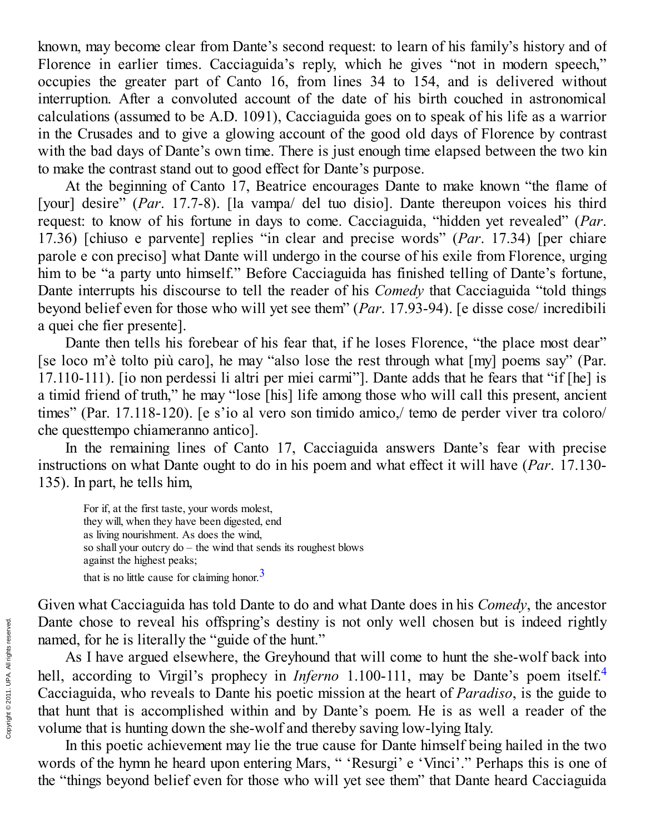known, may become clear from Dante's second request: to learn of his family's history and of Florence in earlier times. Cacciaguida's reply, which he gives "not in modern speech," occupies the greater part of Canto 16, from lines 34 to 154, and is delivered without interruption. After a convoluted account of the date of his birth couched in astronomical calculations (assumed to be A.D. 1091), Cacciaguida goes on to speak of his life as a warrior in the Crusades and to give a glowing account of the good old days of Florence by contrast with the bad days of Dante's own time. There is just enough time elapsed between the two kin to make the contrast stand out to good effect for Dante's purpose.

At the beginning of Canto 17, Beatrice encourages Dante to make known "the flame of [your] desire" (*Par*. 17.7-8). [la vampa/ del tuo disio]. Dante thereupon voices his third request: to know of his fortune in days to come. Cacciaguida, "hidden yet revealed" (Par. 17.36) [chiuso e parvente] replies "in clear and precise words" (*Par.* 17.34) [per chiare parole e con preciso] what Dante will undergo in the course of his exile from Florence, urging him to be "a party unto himself." Before Cacciaguida has finished telling of Dante's fortune, Dante interrupts his discourse to tell the reader of his *Comedy* that Cacciaguida "told things beyond belief even for those who will yet see them" (*Par*. 17.93-94). [e disse cose/ incredibili a quei che fier presente].

Dante then tells his forebear of his fear that, if he loses Florence, "the place most dear" [se loco m'è tolto più caro], he may "also lose the rest through what [my] poems say" (Par. 17.110-111). [io non perdessi li altri per miei carmi"]. Dante adds that he fears that "if [he] is a timid friend of truth," he may "lose [his] life among those who will call this present, ancient times" (Par. 17.118-120). [e s'io al vero son timido amico,/ temo de perder viver tra coloro/ che questtempo chiameranno antico].

In the remaining lines of Canto 17, Cacciaguida answers Dante's fear with precise instructions on what Dante ought to do in his poem and what effect it will have  $(Par. 17.130-$ 135). In part, he tells him,

For if, at the first taste, your words molest, they will, when they have been digested, end as living nourishment. As does the wind, so shall your outcry  $do$  – the wind that sends its roughest blows against the highest peaks; that is no little cause for claiming honor.<sup>[3](#page-4-2)</sup>

Given what Cacciaguida has told Dante to do and what Dante does in his *Comedy*, the ancestor Dante chose to reveal his offspring's destiny is not only well chosen but is indeed rightly named, for he is literally the "guide of the hunt."

As I have argued elsewhere, the Greyhound that will come to hunt the she-wolf back into hell, according to Virgil's prophecy in *Inferno* 1.100-111, may be Dante's poem itself.<sup>[4](#page-4-3)</sup> Cacciaguida, who reveals to Dante his poetic mission at the heart of *Paradiso*, is the guide to that hunt that is accomplished within and by Dante's poem. He is as well a reader of the volume that is hunting down the she-wolf and thereby saving low-lying Italy.

In this poetic achievement may lie the true cause for Dante himself being hailed in the two words of the hymn he heard upon entering Mars, " 'Resurgi' e 'Vinci'." Perhaps this is one of the "things beyond belief even for those who will yet see them" that Dante heard Cacciaguida